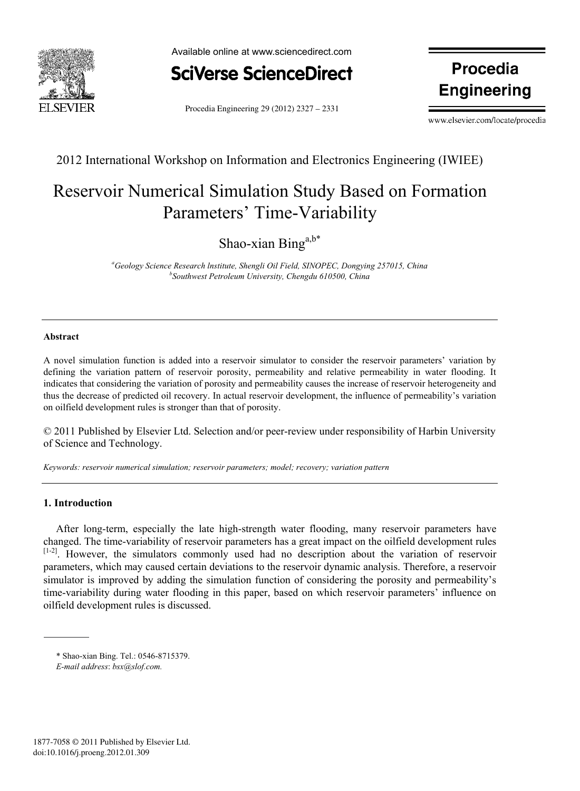

Available online at www.sciencedirect.com



Procedia Engineering 29 (2012) 2327 – 2331

**Procedia Engineering**

www.elsevier.com/locate/procedia

2012 International Workshop on Information and Electronics Engineering (IWIEE)

# Reservoir Numerical Simulation Study Based on Formation Parameters' Time-Variability

Shao-xian Bing<sup>a,b\*</sup>

<sup>a</sup>Geology Science Research Institute, Shengli Oil Field, SINOPEC, Dongying 257015, China *b*Southwest Petroleum University Changdy 610500. China *Southwest Petroleum University, Chengdu 610500, China* 

## **Abstract**

A novel simulation function is added into a reservoir simulator to consider the reservoir parameters' variation by defining the variation pattern of reservoir porosity, permeability and relative permeability in water flooding. It indicates that considering the variation of porosity and permeability causes the increase of reservoir heterogeneity and thus the decrease of predicted oil recovery. In actual reservoir development, the influence of permeability's variation on oilfield development rules is stronger than that of porosity.

© 2011 Published by Elsevier Ltd. Selection and/or peer-review under responsibility of Harbin University of Science and Technology.

*Keywords: reservoir numerical simulation; reservoir parameters; model; recovery; variation pattern* 

## **1. Introduction**

After long-term, especially the late high-strength water flooding, many reservoir parameters have changed. The time-variability of reservoir parameters has a great impact on the oilfield development rules [1-2]. However, the simulators commonly used had no description about the variation of reservoir parameters, which may caused certain deviations to the reservoir dynamic analysis. Therefore, a reservoir simulator is improved by adding the simulation function of considering the porosity and permeability's time-variability during water flooding in this paper, based on which reservoir parameters' influence on oilfield development rules is discussed.

<sup>\*</sup> Shao-xian Bing. Tel.: 0546-8715379.

*E-mail address*: *bsx@slof.com.*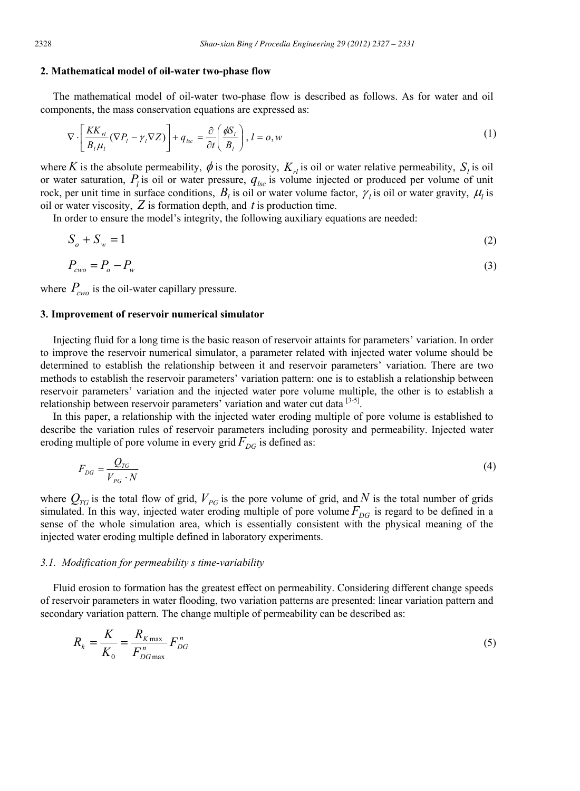#### **2. Mathematical model of oil-water two-phase flow**

The mathematical model of oil-water two-phase flow is described as follows. As for water and oil components, the mass conservation equations are expressed as:

$$
\nabla \cdot \left[ \frac{KK_{rl}}{B_l \mu_l} (\nabla P_l - \gamma_l \nabla Z) \right] + q_{lsc} = \frac{\partial}{\partial t} \left( \frac{\phi S_l}{B_l} \right), \quad l = o, w \tag{1}
$$

where *K* is the absolute permeability,  $\phi$  is the porosity,  $K_{rl}$  is oil or water relative permeability,  $S_l$  is oil or water saturation,  $P_l$  is oil or water pressure,  $q_{lsc}$  is volume injected or produced per volume of unit rock, per unit time in surface conditions,  $B_l$  is oil or water volume factor,  $\gamma_l$  is oil or water gravity,  $\mu_l$  is oil or water viscosity, *Z* is formation depth, and *t* is production time.

In order to ensure the model's integrity, the following auxiliary equations are needed:

$$
S_o + S_w = 1 \tag{2}
$$

$$
P_{\text{cwo}} = P_o - P_w \tag{3}
$$

where  $P_{\text{cwo}}$  is the oil-water capillary pressure.

### **3. Improvement of reservoir numerical simulator**

Injecting fluid for a long time is the basic reason of reservoir attaints for parameters' variation. In order to improve the reservoir numerical simulator, a parameter related with injected water volume should be determined to establish the relationship between it and reservoir parameters' variation. There are two methods to establish the reservoir parameters' variation pattern: one is to establish a relationship between reservoir parameters' variation and the injected water pore volume multiple, the other is to establish a relationship between reservoir parameters' variation and water cut data [3-5].

In this paper, a relationship with the injected water eroding multiple of pore volume is established to describe the variation rules of reservoir parameters including porosity and permeability. Injected water eroding multiple of pore volume in every grid  $F_{DG}$  is defined as:

$$
F_{DG} = \frac{Q_{TG}}{V_{PG} \cdot N} \tag{4}
$$

where  $Q_{TG}$  is the total flow of grid,  $V_{PG}$  is the pore volume of grid, and *N* is the total number of grids simulated. In this way, injected water eroding multiple of pore volume  $F_{DG}$  is regard to be defined in a sense of the whole simulation area, which is essentially consistent with the physical meaning of the injected water eroding multiple defined in laboratory experiments.

### *3.1. Modification for permeability s time-variability*

Fluid erosion to formation has the greatest effect on permeability. Considering different change speeds of reservoir parameters in water flooding, two variation patterns are presented: linear variation pattern and secondary variation pattern. The change multiple of permeability can be described as:

$$
R_k = \frac{K}{K_0} = \frac{R_{K\max}}{F_{DG\max}} F_{DG}^n
$$
\n<sup>(5)</sup>